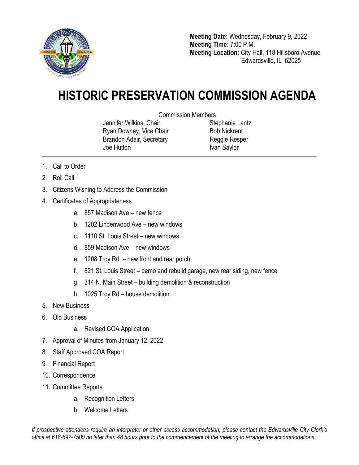

**Meeting Date:** Wednesday, February 9, 2022 **Meeting Time:** 7:00 P.M. **Meeting Location:** City Hall, 118 Hillsboro Avenue Edwardsville, IL 62025

## **HISTORIC PRESERVATION COMMISSION AGENDA**

Commission Members

Jennifer Wilkins, Chair Ryan Downey, Vice Chair Brandon Adair, Secretary Joe Hutton

Stephanie Lantz Bob Nickrent Reggie Resper Ivan Saylor

- 1. Call to Order
- 2. Roll Call
- 3. Citizens Wishing to Address the Commission
- 4. Certificates of Appropriateness
	- a. 857 Madison Ave new fence
	- b. 1202 Lindenwood Ave new windows
	- c. 1110 St. Louis Street new windows
	- d. 859 Madison Ave new windows
	- e. 1208 Troy Rd. new front and rear porch
	- f. 821 St. Louis Street demo and rebuild garage, new rear siding, new fence
	- g. 314 N. Main Street building demolition & reconstruction
	- h. 1025 Troy Rd house demolition
- 5. New Business
- 6. Old Business
	- a. Revised COA Application
- 7. Approval of Minutes from January 12, 2022
- 8. Staff Approved COA Report
- 9. Financial Report
- 10. Correspondence
- 11. Committee Reports
	- a. Recognition Letters
	- b. Welcome Letters

*If prospective attendees require an interpreter or other access accommodation, please contact the Edwardsville City Clerk's office at 618-692-7500 no later than 48 hours prior to the commencement of the meeting to arrange the accommodations.*